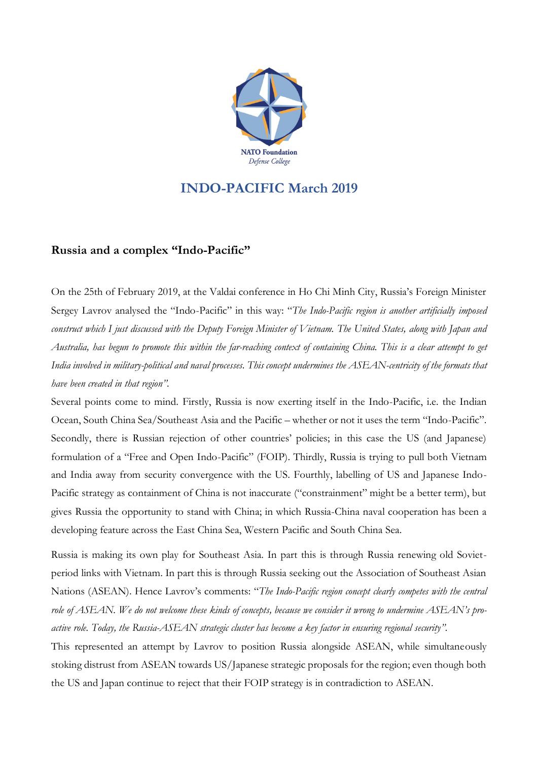

## **INDO-PACIFIC March 2019**

## **Russia and a complex "Indo-Pacific"**

On the 25th of February 2019, at the Valdai conference in Ho Chi Minh City, Russia's Foreign Minister Sergey Lavrov analysed the "Indo-Pacific" in this way: "*The Indo-Pacific region is another artificially imposed* construct which I just discussed with the Deputy Foreign Minister of Vietnam. The United States, along with Japan and Australia, has begun to promote this within the far-reaching context of containing China. This is a clear attempt to get India involved in military-political and naval processes. This concept undermines the ASEAN-centricity of the formats that *have been created in that region".*

Several points come to mind. Firstly, Russia is now exerting itself in the Indo-Pacific, i.e. the Indian Ocean, South China Sea/Southeast Asia and the Pacific – whether or not it uses the term "Indo-Pacific". Secondly, there is Russian rejection of other countries' policies; in this case the US (and Japanese) formulation of a "Free and Open Indo-Pacific" (FOIP). Thirdly, Russia is trying to pull both Vietnam and India away from security convergence with the US. Fourthly, labelling of US and Japanese Indo-Pacific strategy as containment of China is not inaccurate ("constrainment" might be a better term), but gives Russia the opportunity to stand with China; in which Russia-China naval cooperation has been a developing feature across the East China Sea, Western Pacific and South China Sea.

Russia is making its own play for Southeast Asia. In part this is through Russia renewing old Sovietperiod links with Vietnam. In part this is through Russia seeking out the Association of Southeast Asian Nations (ASEAN). Hence Lavrov's comments: "*The Indo-Pacific region concept clearly competes with the central* role of ASEAN. We do not welcome these kinds of concepts, because we consider it wrong to undermine ASEAN's pro*active role. Today, the Russia-ASEAN strategic cluster has become a key factor in ensuring regional security".*

This represented an attempt by Lavrov to position Russia alongside ASEAN, while simultaneously stoking distrust from ASEAN towards US/Japanese strategic proposals for the region; even though both the US and Japan continue to reject that their FOIP strategy is in contradiction to ASEAN.